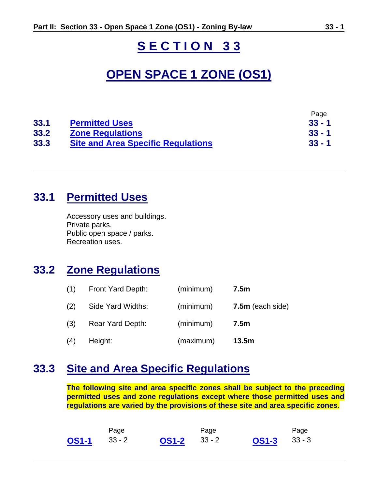# **S E C T I O N 3 3**

# **OPEN SPACE 1 ZONE (OS1)**

|      |                                           | Page     |
|------|-------------------------------------------|----------|
| 33.1 | <b>Permitted Uses</b>                     | $33 - 1$ |
| 33.2 | <b>Zone Regulations</b>                   | $33 - 1$ |
| 33.3 | <b>Site and Area Specific Regulations</b> | $33 - 1$ |

### **33.1 Permitted Uses**

Accessory uses and buildings. Private parks. Public open space / parks. Recreation uses.

### **33.2 Zone Regulations**

| (1) | Front Yard Depth: | (minimum) | 7.5 <sub>m</sub>   |
|-----|-------------------|-----------|--------------------|
| (2) | Side Yard Widths: | (minimum) | $7.5m$ (each side) |
| (3) | Rear Yard Depth:  | (minimum) | 7.5 <sub>m</sub>   |
| (4) | Height:           | (maximum) | 13.5m              |

## **33.3 Site and Area Specific Regulations**

**The following site and area specific zones shall be subject to the preceding permitted uses and zone regulations except where those permitted uses and regulations are varied by the provisions of these site and area specific zones**.

|                | Page |                | Page |                | Page |
|----------------|------|----------------|------|----------------|------|
| $OS1-1$ $33-2$ |      | $OS1-2$ $33-2$ |      | $OS1-3$ $33-3$ |      |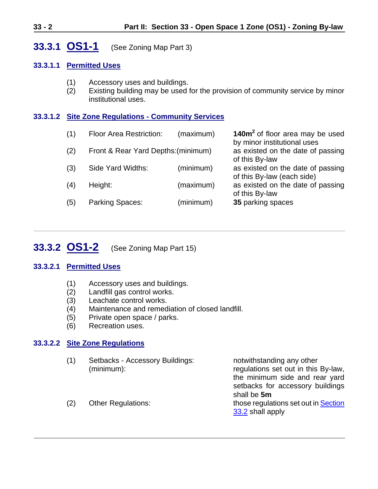### **33.3.1 OS1-1** (See Zoning Map Part 3)

#### **33.3.1.1 Permitted Uses**

- (1) Accessory uses and buildings.
- (2) Existing building may be used for the provision of community service by minor institutional uses.

#### **33.3.1.2 Site Zone Regulations - Community Services**

| (1) | <b>Floor Area Restriction:</b>      | (maximum) | 140m <sup>2</sup> of floor area may be used<br>by minor institutional uses |
|-----|-------------------------------------|-----------|----------------------------------------------------------------------------|
| (2) | Front & Rear Yard Depths: (minimum) |           | as existed on the date of passing<br>of this By-law                        |
| (3) | Side Yard Widths:                   | (minimum) | as existed on the date of passing<br>of this By-law (each side)            |
| (4) | Height:                             | (maximum) | as existed on the date of passing<br>of this By-law                        |
| (5) | Parking Spaces:                     | (minimum) | 35 parking spaces                                                          |

### **33.3.2 OS1-2** (See Zoning Map Part 15)

#### **33.3.2.1 Permitted Uses**

- (1) Accessory uses and buildings.
- (2) Landfill gas control works.
- (3) Leachate control works.
- (4) Maintenance and remediation of closed landfill.
- (5) Private open space / parks.
- (6) Recreation uses.

#### **33.3.2.2 Site Zone Regulations**

(1) Setbacks - Accessory Buildings: notwithstanding any other

(minimum): regulations set out in this By-law, the minimum side and rear yard setbacks for accessory buildings shall be **5m** (2) Other Regulations: those regulations set out in Section 33.2 shall apply